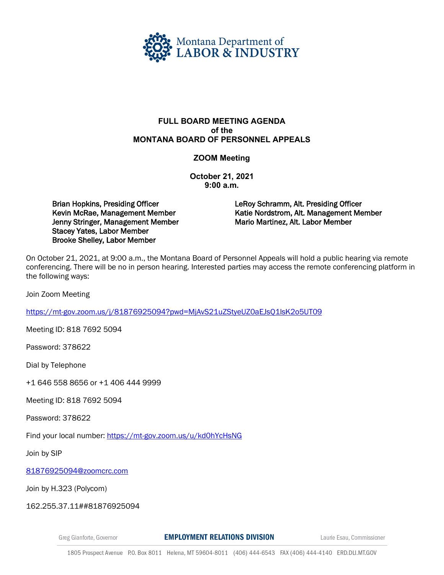

## **FULL BOARD MEETING AGENDA of the MONTANA BOARD OF PERSONNEL APPEALS**

## **ZOOM Meeting**

**October 21, 2021 9:00 a.m.** 

Brian Hopkins, Presiding Officer Kevin McRae, Management Member Jenny Stringer, Management Member Stacey Yates, Labor Member Brooke Shelley, Labor Member

LeRoy Schramm, Alt. Presiding Officer Katie Nordstrom, Alt. Management Member Mario Martinez, Alt. Labor Member

On October 21, 2021, at 9:00 a.m., the Montana Board of Personnel Appeals will hold a public hearing via remote conferencing. There will be no in person hearing. Interested parties may access the remote conferencing platform in the following ways:

Join Zoom Meeting

<https://mt-gov.zoom.us/j/81876925094?pwd=MjAvS21uZStyeUZ0aEJsQ1lsK2o5UT09>

Meeting ID: 818 7692 5094

Password: 378622

Dial by Telephone

+1 646 558 8656 or +1 406 444 9999

Meeting ID: 818 7692 5094

Password: 378622

Find your local number:<https://mt-gov.zoom.us/u/kd0hYcHsNG>

Join by SIP

[81876925094@zoomcrc.com](mailto:81876925094@zoomcrc.com)

Join by H.323 (Polycom)

162.255.37.11##81876925094

Greg Gianforte, Governor

**EMPLOYMENT RELATIONS DIVISION** 

Laurie Esau, Commissioner